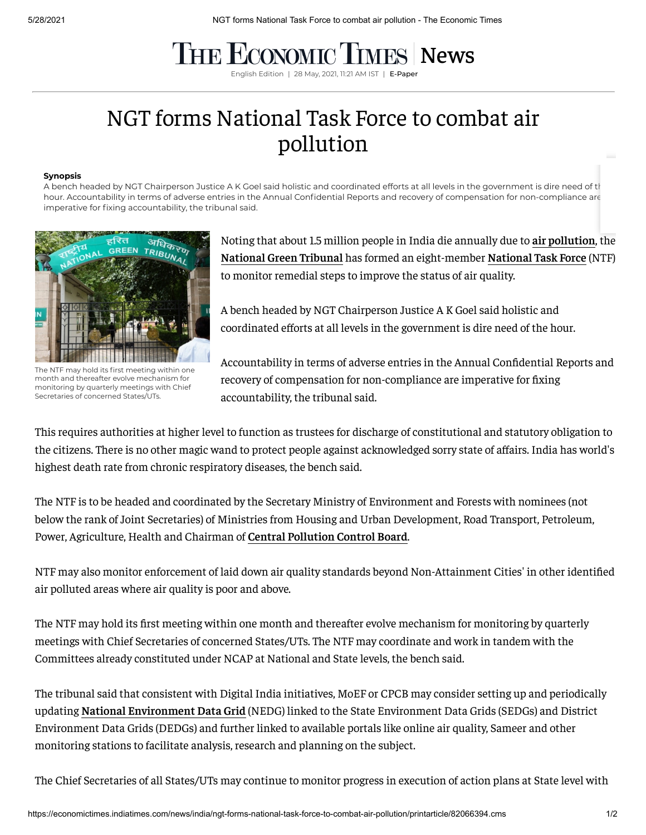## **THE ECONOMIC TIMES [News](https://economictimes.indiatimes.com/news)**

English Edition | 28 May, 2021, 11:21 AM IST | E-Pape

## NGT forms National Task Force to combat air pollution

## **Synopsis**

A bench headed by NGT Chairperson Justice A K Goel said holistic and coordinated efforts at all levels in the government is dire need of the hour. Accountability in terms of adverse entries in the Annual Confidential Reports and recovery of compensation for non-compliance are imperative for fixing accountability, the tribunal said.



The NTF may hold its first meeting within one month and thereafter evolve mechanism for monitoring by quarterly meetings with Chief Secretaries of concerned States/UTs.

Noting that about 1.5 million people in India die annually due to **air [pollution](https://economictimes.indiatimes.com/topic/air-pollution)**, the **[National](https://economictimes.indiatimes.com/topic/National-Green-Tribunal) Green Tribunal** has formed an eight-member **[National](https://economictimes.indiatimes.com/topic/National-Task-Force) Task Force** (NTF) to monitor remedial steps to improve the status of air quality.

A bench headed by NGT Chairperson Justice A K Goel said holistic and coordinated efforts at all levels in the government is dire need of the hour.

Accountability in terms of adverse entries in the Annual Confidential Reports and recovery of compensation for non-compliance are imperative for fixing accountability, the tribunal said.

This requires authorities at higher level to function as trustees for discharge of constitutional and statutory obligation to the citizens. There is no other magic wand to protect people against acknowledged sorry state of affairs. India has world's highest death rate from chronic respiratory diseases, the bench said.

The NTF is to be headed and coordinated by the Secretary Ministry of Environment and Forests with nominees (not below the rank of Joint Secretaries) of Ministries from Housing and Urban Development, Road Transport, Petroleum, Power, Agriculture, Health and Chairman of **Central [Pollution](https://economictimes.indiatimes.com/topic/Central-Pollution-Control-Board) Control Board**.

NTF may also monitor enforcement of laid down air quality standards beyond Non-Attainment Cities' in other identified air polluted areas where air quality is poor and above.

The NTF may hold its first meeting within one month and thereafter evolve mechanism for monitoring by quarterly meetings with Chief Secretaries of concerned States/UTs. The NTF may coordinate and work in tandem with the Committees already constituted under NCAP at National and State levels, the bench said.

The tribunal said that consistent with Digital India initiatives, MoEF or CPCB may consider setting up and periodically updating **National [Environment](https://economictimes.indiatimes.com/topic/National-Environment-Data-Grid) Data Grid** (NEDG) linked to the State Environment Data Grids (SEDGs) and District Environment Data Grids (DEDGs) and further linked to available portals like online air quality, Sameer and other monitoring stations to facilitate analysis, research and planning on the subject.

The Chief Secretaries of all States/UTs may continue to monitor progress in execution of action plans at State level with